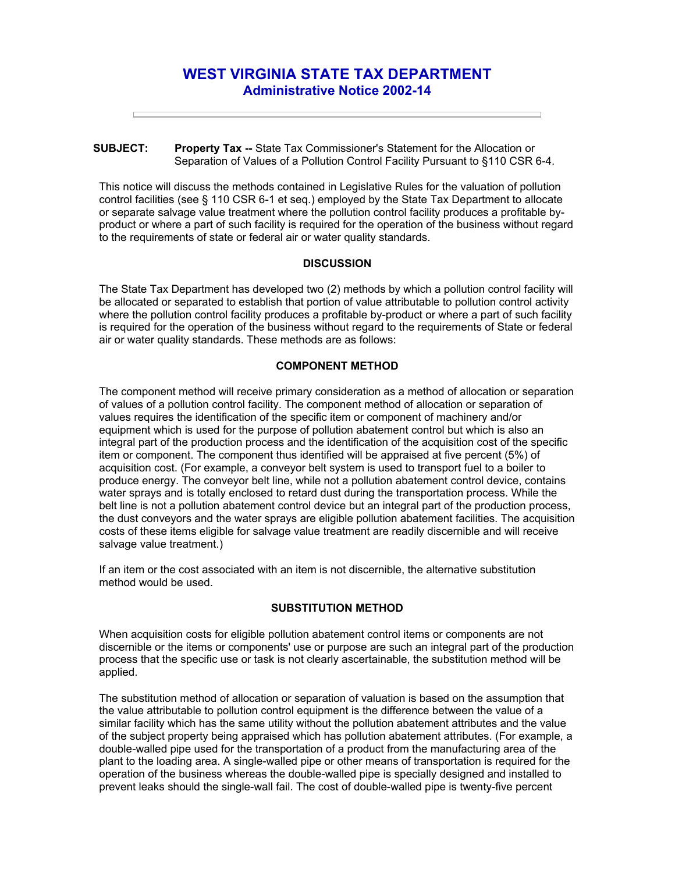# **WEST VIRGINIA STATE TAX DEPARTMENT Administrative Notice 2002-14**

### **SUBJECT: Property Tax --** State Tax Commissioner's Statement for the Allocation or Separation of Values of a Pollution Control Facility Pursuant to §110 CSR 6-4.

This notice will discuss the methods contained in Legislative Rules for the valuation of pollution control facilities (see § 110 CSR 6-1 et seq.) employed by the State Tax Department to allocate or separate salvage value treatment where the pollution control facility produces a profitable byproduct or where a part of such facility is required for the operation of the business without regard to the requirements of state or federal air or water quality standards.

## **DISCUSSION**

The State Tax Department has developed two (2) methods by which a pollution control facility will be allocated or separated to establish that portion of value attributable to pollution control activity where the pollution control facility produces a profitable by-product or where a part of such facility is required for the operation of the business without regard to the requirements of State or federal air or water quality standards. These methods are as follows:

# **COMPONENT METHOD**

The component method will receive primary consideration as a method of allocation or separation of values of a pollution control facility. The component method of allocation or separation of values requires the identification of the specific item or component of machinery and/or equipment which is used for the purpose of pollution abatement control but which is also an integral part of the production process and the identification of the acquisition cost of the specific item or component. The component thus identified will be appraised at five percent (5%) of acquisition cost. (For example, a conveyor belt system is used to transport fuel to a boiler to produce energy. The conveyor belt line, while not a pollution abatement control device, contains water sprays and is totally enclosed to retard dust during the transportation process. While the belt line is not a pollution abatement control device but an integral part of the production process, the dust conveyors and the water sprays are eligible pollution abatement facilities. The acquisition costs of these items eligible for salvage value treatment are readily discernible and will receive salvage value treatment.)

If an item or the cost associated with an item is not discernible, the alternative substitution method would be used.

## **SUBSTITUTION METHOD**

When acquisition costs for eligible pollution abatement control items or components are not discernible or the items or components' use or purpose are such an integral part of the production process that the specific use or task is not clearly ascertainable, the substitution method will be applied.

The substitution method of allocation or separation of valuation is based on the assumption that the value attributable to pollution control equipment is the difference between the value of a similar facility which has the same utility without the pollution abatement attributes and the value of the subject property being appraised which has pollution abatement attributes. (For example, a double-walled pipe used for the transportation of a product from the manufacturing area of the plant to the loading area. A single-walled pipe or other means of transportation is required for the operation of the business whereas the double-walled pipe is specially designed and installed to prevent leaks should the single-wall fail. The cost of double-walled pipe is twenty-five percent